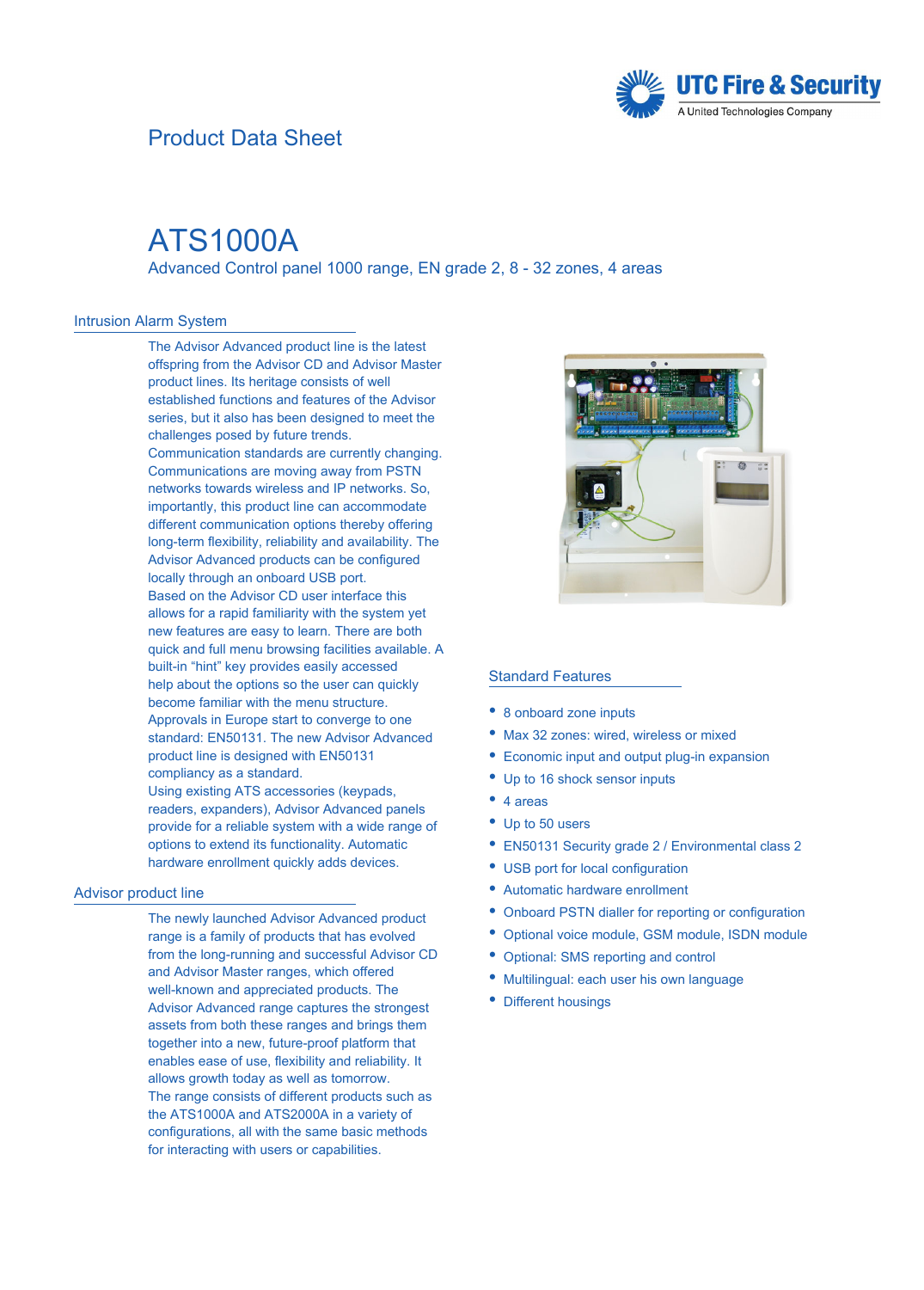### Product Data Sheet



## ATS1000A

Advanced Control panel 1000 range, EN grade 2, 8 - 32 zones, 4 areas

### Intrusion Alarm System

The Advisor Advanced product line is the latest offspring from the Advisor CD and Advisor Master product lines. Its heritage consists of well established functions and features of the Advisor series, but it also has been designed to meet the challenges posed by future trends. Communication standards are currently changing. Communications are moving away from PSTN networks towards wireless and IP networks. So, importantly, this product line can accommodate different communication options thereby offering long-term flexibility, reliability and availability. The Advisor Advanced products can be configured locally through an onboard USB port. Based on the Advisor CD user interface this allows for a rapid familiarity with the system yet new features are easy to learn. There are both quick and full menu browsing facilities available. A built-in "hint" key provides easily accessed help about the options so the user can quickly become familiar with the menu structure. Approvals in Europe start to converge to one standard: EN50131. The new Advisor Advanced product line is designed with EN50131 compliancy as a standard. Using existing ATS accessories (keypads, readers, expanders), Advisor Advanced panels provide for a reliable system with a wide range of options to extend its functionality. Automatic hardware enrollment quickly adds devices.

### Advisor product line

The newly launched Advisor Advanced product range is a family of products that has evolved from the long-running and successful Advisor CD and Advisor Master ranges, which offered well-known and appreciated products. The Advisor Advanced range captures the strongest assets from both these ranges and brings them together into a new, future-proof platform that enables ease of use, flexibility and reliability. It allows growth today as well as tomorrow. The range consists of different products such as the ATS1000A and ATS2000A in a variety of configurations, all with the same basic methods for interacting with users or capabilities.



### Standard Features

- 8 onboard zone inputs
- Max 32 zones: wired, wireless or mixed
- $\bullet$  Economic input and output plug-in expansion
- Up to 16 shock sensor inputs
- 4 areas
	- Up to 50 users
	- EN50131 Security grade 2 / Environmental class 2
	- EUSB port for local configuration
	- Automatic hardware enrollment
	- EOnboard PSTN dialler for reporting or configuration
	- EOptional voice module, GSM module, ISDN module
	- EOptional: SMS reporting and control
	- Multilingual: each user his own language
	- Different housings